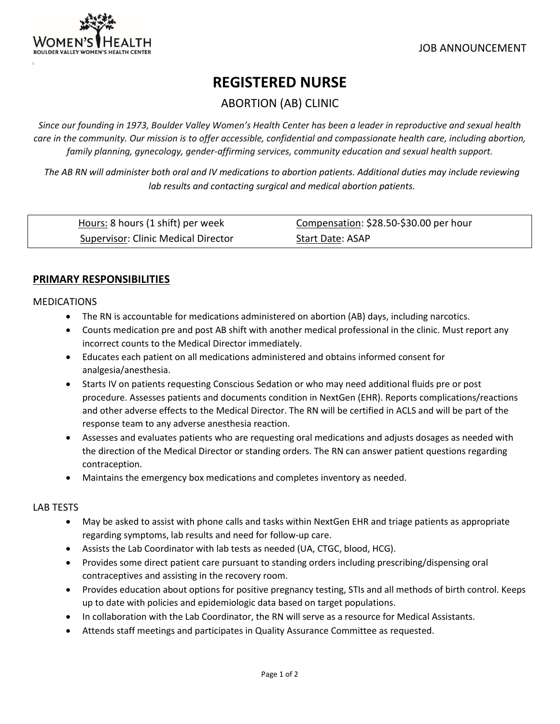l.

# **REGISTERED NURSE**

# ABORTION (AB) CLINIC

*Since our founding in 1973, Boulder Valley Women's Health Center has been a leader in reproductive and sexual health care in the community. Our mission is to offer accessible, confidential and compassionate health care, including abortion, family planning, gynecology, gender-affirming services, community education and sexual health support.*

*The AB RN will administer both oral and IV medications to abortion patients. Additional duties may include reviewing lab results and contacting surgical and medical abortion patients.*

| Hours: 8 hours (1 shift) per week   | Compensation: \$28.50-\$30.00 per hour |
|-------------------------------------|----------------------------------------|
| Supervisor: Clinic Medical Director | Start Date: ASAP                       |

### **PRIMARY RESPONSIBILITIES**

#### MEDICATIONS

- The RN is accountable for medications administered on abortion (AB) days, including narcotics.
- Counts medication pre and post AB shift with another medical professional in the clinic. Must report any incorrect counts to the Medical Director immediately.
- Educates each patient on all medications administered and obtains informed consent for analgesia/anesthesia.
- Starts IV on patients requesting Conscious Sedation or who may need additional fluids pre or post procedure. Assesses patients and documents condition in NextGen (EHR). Reports complications/reactions and other adverse effects to the Medical Director. The RN will be certified in ACLS and will be part of the response team to any adverse anesthesia reaction.
- Assesses and evaluates patients who are requesting oral medications and adjusts dosages as needed with the direction of the Medical Director or standing orders. The RN can answer patient questions regarding contraception.
- Maintains the emergency box medications and completes inventory as needed.

#### LAB TESTS

- May be asked to assist with phone calls and tasks within NextGen EHR and triage patients as appropriate regarding symptoms, lab results and need for follow-up care.
- Assists the Lab Coordinator with lab tests as needed (UA, CTGC, blood, HCG).
- Provides some direct patient care pursuant to standing orders including prescribing/dispensing oral contraceptives and assisting in the recovery room.
- Provides education about options for positive pregnancy testing, STIs and all methods of birth control. Keeps up to date with policies and epidemiologic data based on target populations.
- In collaboration with the Lab Coordinator, the RN will serve as a resource for Medical Assistants.
- Attends staff meetings and participates in Quality Assurance Committee as requested.